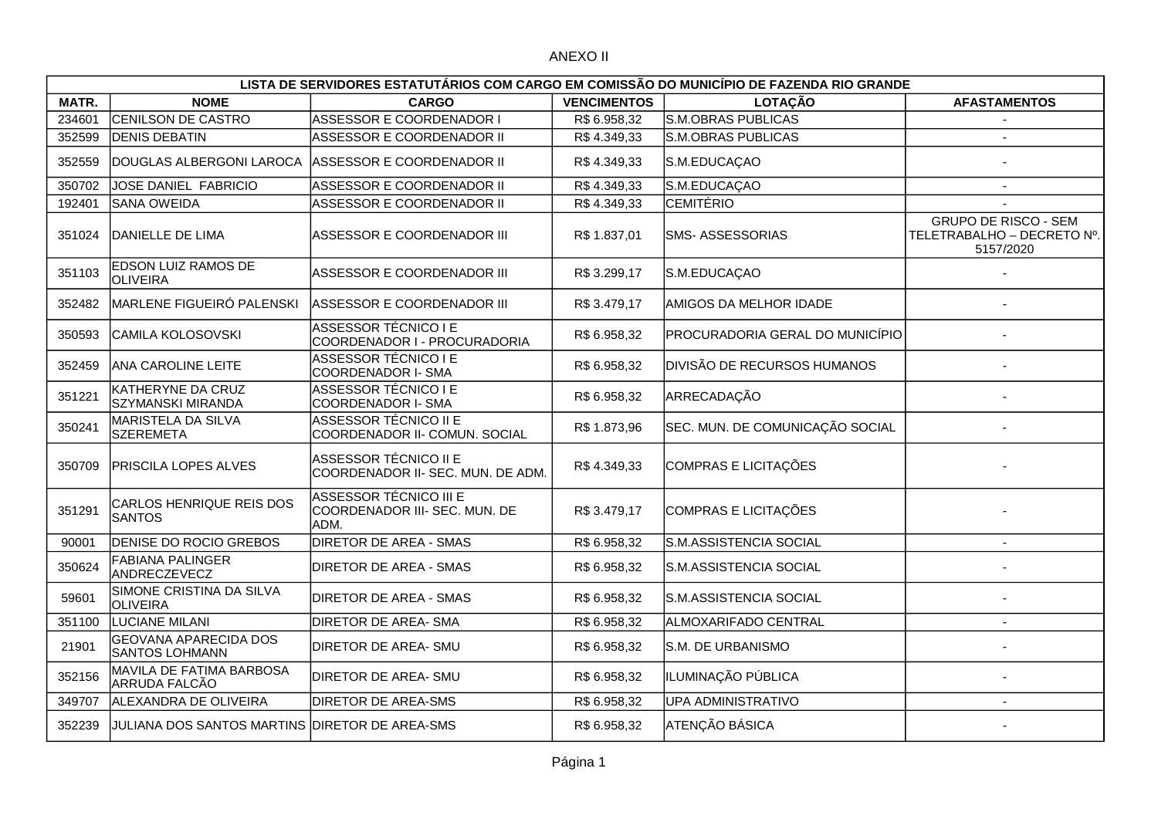## ANEXO II

| LISTA DE SERVIDORES ESTATUTÁRIOS COM CARGO EM COMISSÃO DO MUNICÍPIO DE FAZENDA RIO GRANDE |                                                       |                                                                 |                    |                                 |                                                                        |  |  |  |  |
|-------------------------------------------------------------------------------------------|-------------------------------------------------------|-----------------------------------------------------------------|--------------------|---------------------------------|------------------------------------------------------------------------|--|--|--|--|
| MATR.                                                                                     | <b>NOME</b>                                           | <b>CARGO</b>                                                    | <b>VENCIMENTOS</b> | <b>LOTAÇÃO</b>                  | <b>AFASTAMENTOS</b>                                                    |  |  |  |  |
| 234601                                                                                    | CENILSON DE CASTRO                                    | ASSESSOR E COORDENADOR I                                        | R\$ 6.958.32       | <b>S.M.OBRAS PUBLICAS</b>       |                                                                        |  |  |  |  |
| 352599                                                                                    | <b>DENIS DEBATIN</b>                                  | ASSESSOR E COORDENADOR II                                       | R\$4.349,33        | S.M.OBRAS PUBLICAS              | $\overline{\phantom{a}}$                                               |  |  |  |  |
| 352559                                                                                    | DOUGLAS ALBERGONI LAROCA                              | ASSESSOR E COORDENADOR II                                       | R\$4.349,33        | S.M.EDUCAÇAO                    |                                                                        |  |  |  |  |
| 350702                                                                                    | JOSE DANIEL FABRICIO                                  | ASSESSOR E COORDENADOR II                                       | R\$4.349,33        | S.M.EDUCAÇAO                    |                                                                        |  |  |  |  |
| 192401                                                                                    | SANA OWEIDA                                           | ASSESSOR E COORDENADOR II                                       | R\$4.349,33        | <b>CEMITÉRIO</b>                |                                                                        |  |  |  |  |
| 351024                                                                                    | DANIELLE DE LIMA                                      | ASSESSOR E COORDENADOR III                                      | R\$ 1.837,01       | <b>SMS- ASSESSORIAS</b>         | <b>GRUPO DE RISCO - SEM</b><br>TELETRABALHO - DECRETO Nº.<br>5157/2020 |  |  |  |  |
| 351103                                                                                    | EDSON LUIZ RAMOS DE<br>OLIVEIRA                       | ASSESSOR E COORDENADOR III                                      | R\$ 3.299,17       | S.M.EDUCAÇAO                    |                                                                        |  |  |  |  |
| 352482                                                                                    | MARLENE FIGUEIRÓ PALENSKI                             | ASSESSOR E COORDENADOR III                                      | R\$3.479,17        | AMIGOS DA MELHOR IDADE          |                                                                        |  |  |  |  |
| 350593                                                                                    | CAMILA KOLOSOVSKI                                     | <b>ASSESSOR TÉCNICO I E</b><br>COORDENADOR I - PROCURADORIA     | R\$ 6.958,32       | PROCURADORIA GERAL DO MUNICÍPIO |                                                                        |  |  |  |  |
| 352459                                                                                    | <b>ANA CAROLINE LEITE</b>                             | <b>ASSESSOR TÉCNICO I E</b><br>COORDENADOR I- SMA               | R\$ 6.958,32       | DIVISÃO DE RECURSOS HUMANOS     |                                                                        |  |  |  |  |
| 351221                                                                                    | KATHERYNE DA CRUZ<br>SZYMANSKI MIRANDA                | <b>ASSESSOR TÉCNICO I E</b><br>COORDENADOR I- SMA               | R\$ 6.958,32       | ARRECADAÇÃO                     |                                                                        |  |  |  |  |
| 350241                                                                                    | MARISTELA DA SILVA<br><b>SZEREMETA</b>                | <b>ASSESSOR TÉCNICO II E</b><br>COORDENADOR II- COMUN. SOCIAL   | R\$1.873,96        | SEC. MUN. DE COMUNICAÇÃO SOCIAL |                                                                        |  |  |  |  |
| 350709                                                                                    | <b>PRISCILA LOPES ALVES</b>                           | ASSESSOR TÉCNICO II E<br>COORDENADOR II- SEC. MUN. DE ADM.      | R\$4.349,33        | COMPRAS E LICITAÇÕES            |                                                                        |  |  |  |  |
| 351291                                                                                    | CARLOS HENRIQUE REIS DOS<br><b>SANTOS</b>             | ASSESSOR TÉCNICO III E<br>COORDENADOR III- SEC. MUN. DE<br>ADM. | R\$3.479,17        | COMPRAS E LICITAÇÕES            |                                                                        |  |  |  |  |
| 90001                                                                                     | DENISE DO ROCIO GREBOS                                | <b>DIRETOR DE AREA - SMAS</b>                                   | R\$ 6.958,32       | S.M.ASSISTENCIA SOCIAL          | $\overline{\phantom{a}}$                                               |  |  |  |  |
| 350624                                                                                    | <b>FABIANA PALINGER</b><br>ANDRECZEVECZ               | DIRETOR DE AREA - SMAS                                          | R\$ 6.958,32       | S.M.ASSISTENCIA SOCIAL          |                                                                        |  |  |  |  |
| 59601                                                                                     | SIMONE CRISTINA DA SILVA<br><b>OLIVEIRA</b>           | <b>DIRETOR DE AREA - SMAS</b>                                   | R\$ 6.958,32       | S.M.ASSISTENCIA SOCIAL          |                                                                        |  |  |  |  |
| 351100                                                                                    | <b>LUCIANE MILANI</b>                                 | DIRETOR DE AREA- SMA                                            | R\$ 6.958,32       | ALMOXARIFADO CENTRAL            | $\blacksquare$                                                         |  |  |  |  |
| 21901                                                                                     | <b>GEOVANA APARECIDA DOS</b><br><b>SANTOS LOHMANN</b> | DIRETOR DE AREA- SMU                                            | R\$ 6.958,32       | S.M. DE URBANISMO               |                                                                        |  |  |  |  |
| 352156                                                                                    | MAVILA DE FATIMA BARBOSA<br>ARRUDA FALCÃO             | DIRETOR DE AREA- SMU                                            | R\$ 6.958,32       | ILUMINAÇÃO PÚBLICA              |                                                                        |  |  |  |  |
| 349707                                                                                    | ALEXANDRA DE OLIVEIRA                                 | <b>DIRETOR DE AREA-SMS</b>                                      | R\$ 6.958,32       | UPA ADMINISTRATIVO              | $\sim$                                                                 |  |  |  |  |
| 352239                                                                                    | JULIANA DOS SANTOS MARTINS DIRETOR DE AREA-SMS        |                                                                 | R\$ 6.958,32       | ATENÇÃO BÁSICA                  |                                                                        |  |  |  |  |